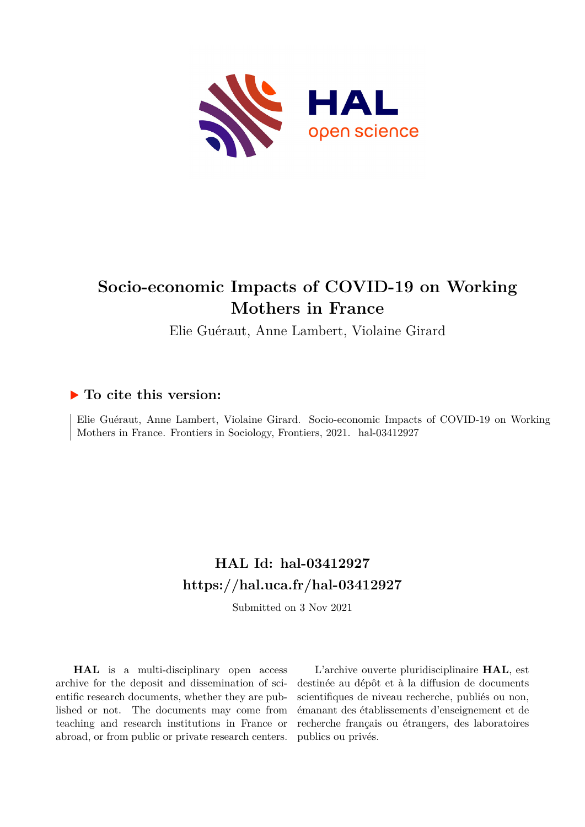

# **Socio-economic Impacts of COVID-19 on Working Mothers in France**

Elie Guéraut, Anne Lambert, Violaine Girard

### **To cite this version:**

Elie Guéraut, Anne Lambert, Violaine Girard. Socio-economic Impacts of COVID-19 on Working Mothers in France. Frontiers in Sociology, Frontiers, 2021. hal-03412927

# **HAL Id: hal-03412927 <https://hal.uca.fr/hal-03412927>**

Submitted on 3 Nov 2021

**HAL** is a multi-disciplinary open access archive for the deposit and dissemination of scientific research documents, whether they are published or not. The documents may come from teaching and research institutions in France or abroad, or from public or private research centers.

L'archive ouverte pluridisciplinaire **HAL**, est destinée au dépôt et à la diffusion de documents scientifiques de niveau recherche, publiés ou non, émanant des établissements d'enseignement et de recherche français ou étrangers, des laboratoires publics ou privés.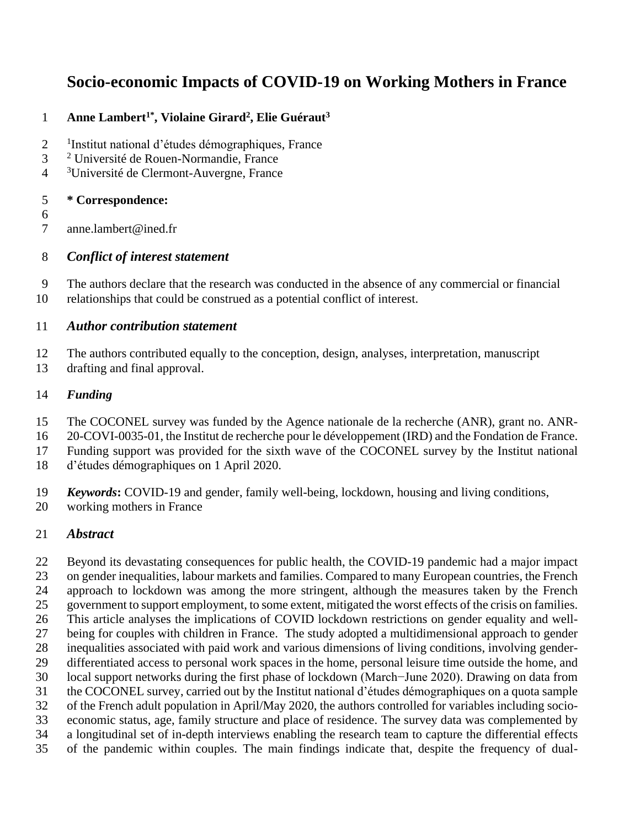# **Socio-economic Impacts of COVID-19 on Working Mothers in France**

### **Anne Lambert1\* , Violaine Girard<sup>2</sup> , Elie Guéraut<sup>3</sup>**

- 2 <sup>1</sup>Institut national d'études démographiques, France
- <sup>2</sup> Université de Rouen-Normandie, France
- <sup>3</sup> Université de Clermont-Auvergne, France
- **\* Correspondence:**
- 
- anne.lambert@ined.fr
- *Conflict of interest statement*

 The authors declare that the research was conducted in the absence of any commercial or financial relationships that could be construed as a potential conflict of interest.

### *Author contribution statement*

- The authors contributed equally to the conception, design, analyses, interpretation, manuscript
- drafting and final approval.

### *Funding*

- The COCONEL survey was funded by the Agence nationale de la recherche (ANR), grant no. ANR-
- 20-COVI-0035-01, the Institut de recherche pour le développement (IRD) and the Fondation de France.

Funding support was provided for the sixth wave of the COCONEL survey by the Institut national

- d'études démographiques on 1 April 2020.
- *Keywords***:** COVID-19 and gender, family well-being, lockdown, housing and living conditions,
- working mothers in France

### *Abstract*

 Beyond its devastating consequences for public health, the COVID-19 pandemic had a major impact on gender inequalities, labour markets and families. Compared to many European countries, the French approach to lockdown was among the more stringent, although the measures taken by the French government to support employment, to some extent, mitigated the worst effects of the crisis on families. This article analyses the implications of COVID lockdown restrictions on gender equality and well- being for couples with children in France. The study adopted a multidimensional approach to gender inequalities associated with paid work and various dimensions of living conditions, involving gender-29 differentiated access to personal work spaces in the home, personal leisure time outside the home, and local support networks during the first phase of lockdown (March−June 2020). Drawing on data from the COCONEL survey, carried out by the Institut national d'études démographiques on a quota sample of the French adult population in April/May 2020, the authors controlled for variables including socio- economic status, age, family structure and place of residence. The survey data was complemented by a longitudinal set of in-depth interviews enabling the research team to capture the differential effects of the pandemic within couples. The main findings indicate that, despite the frequency of dual-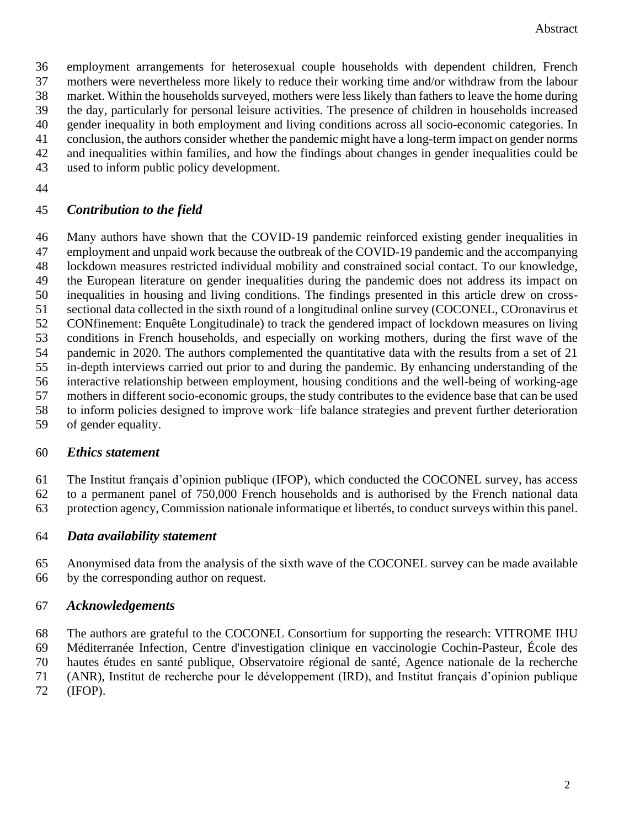employment arrangements for heterosexual couple households with dependent children, French mothers were nevertheless more likely to reduce their working time and/or withdraw from the labour market. Within the households surveyed, mothers were less likely than fathers to leave the home during the day, particularly for personal leisure activities. The presence of children in households increased gender inequality in both employment and living conditions across all socio-economic categories. In conclusion, the authors consider whether the pandemic might have a long-term impact on gender norms and inequalities within families, and how the findings about changes in gender inequalities could be

- used to inform public policy development.
- 

### *Contribution to the field*

 Many authors have shown that the COVID-19 pandemic reinforced existing gender inequalities in employment and unpaid work because the outbreak of the COVID-19 pandemic and the accompanying lockdown measures restricted individual mobility and constrained social contact. To our knowledge, the European literature on gender inequalities during the pandemic does not address its impact on inequalities in housing and living conditions. The findings presented in this article drew on cross- sectional data collected in the sixth round of a longitudinal online survey (COCONEL, COronavirus et CONfinement: Enquête Longitudinale) to track the gendered impact of lockdown measures on living conditions in French households, and especially on working mothers, during the first wave of the pandemic in 2020. The authors complemented the quantitative data with the results from a set of 21 in-depth interviews carried out prior to and during the pandemic. By enhancing understanding of the interactive relationship between employment, housing conditions and the well-being of working-age mothers in different socio-economic groups, the study contributes to the evidence base that can be used to inform policies designed to improve work−life balance strategies and prevent further deterioration

of gender equality.

### *Ethics statement*

The Institut français d'opinion publique (IFOP), which conducted the COCONEL survey, has access

to a permanent panel of 750,000 French households and is authorised by the French national data

protection agency, Commission nationale informatique et libertés, to conduct surveys within this panel.

### *Data availability statement*

 Anonymised data from the analysis of the sixth wave of the COCONEL survey can be made available by the corresponding author on request.

### *Acknowledgements*

 The authors are grateful to the COCONEL Consortium for supporting the research: VITROME IHU Méditerranée Infection, Centre d'investigation clinique en vaccinologie Cochin-Pasteur, École des hautes études en santé publique, Observatoire régional de santé, Agence nationale de la recherche (ANR), Institut de recherche pour le développement (IRD), and Institut français d'opinion publique (IFOP).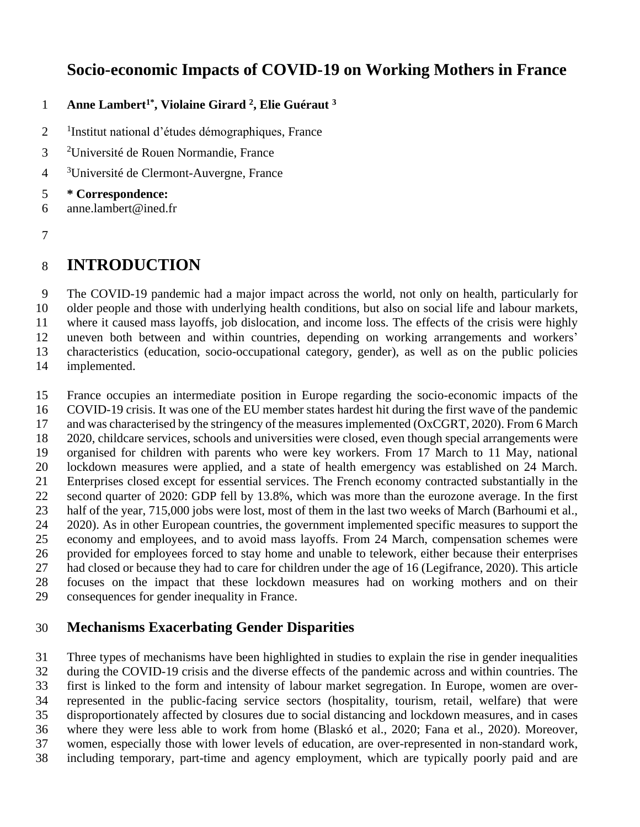# **Socio-economic Impacts of COVID-19 on Working Mothers in France**

### **Anne Lambert1\* , Violaine Girard <sup>2</sup> , Elie Guéraut <sup>3</sup>**

- 2 <sup>1</sup>Institut national d'études démographiques, France
- <sup>2</sup> Université de Rouen Normandie, France
- <sup>3</sup> Université de Clermont-Auvergne, France
- **\* Correspondence:**
- anne.lambert@ined.fr
- 

# **INTRODUCTION**

 The COVID-19 pandemic had a major impact across the world, not only on health, particularly for older people and those with underlying health conditions, but also on social life and labour markets, where it caused mass layoffs, job dislocation, and income loss. The effects of the crisis were highly uneven both between and within countries, depending on working arrangements and workers' characteristics (education, socio-occupational category, gender), as well as on the public policies implemented.

 France occupies an intermediate position in Europe regarding the socio-economic impacts of the COVID-19 crisis. It was one of the EU member states hardest hit during the first wave of the pandemic 17 and was characterised by the stringency of the measures implemented (OxCGRT, 2020). From 6 March 2020, childcare services, schools and universities were closed, even though special arrangements were organised for children with parents who were key workers. From 17 March to 11 May, national lockdown measures were applied, and a state of health emergency was established on 24 March. Enterprises closed except for essential services. The French economy contracted substantially in the second quarter of 2020: GDP fell by 13.8%, which was more than the eurozone average. In the first 23 half of the year, 715,000 jobs were lost, most of them in the last two weeks of March (Barhoumi et al., 2020). As in other European countries, the government implemented specific measures to support the economy and employees, and to avoid mass layoffs. From 24 March, compensation schemes were provided for employees forced to stay home and unable to telework, either because their enterprises had closed or because they had to care for children under the age of 16 (Legifrance, 2020). This article focuses on the impact that these lockdown measures had on working mothers and on their consequences for gender inequality in France.

### **Mechanisms Exacerbating Gender Disparities**

 Three types of mechanisms have been highlighted in studies to explain the rise in gender inequalities during the COVID-19 crisis and the diverse effects of the pandemic across and within countries. The first is linked to the form and intensity of labour market segregation. In Europe, women are over- represented in the public-facing service sectors (hospitality, tourism, retail, welfare) that were disproportionately affected by closures due to social distancing and lockdown measures, and in cases where they were less able to work from home (Blaskó et al., 2020; Fana et al., 2020). Moreover, women, especially those with lower levels of education, are over-represented in non-standard work, including temporary, part-time and agency employment, which are typically poorly paid and are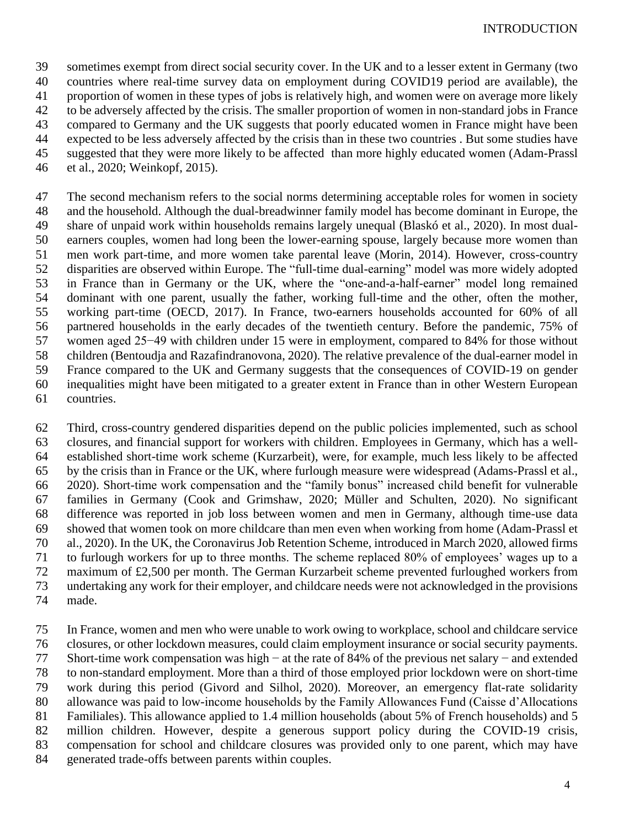sometimes exempt from direct social security cover. In the UK and to a lesser extent in Germany (two countries where real-time survey data on employment during COVID19 period are available), the proportion of women in these types of jobs is relatively high, and women were on average more likely to be adversely affected by the crisis. The smaller proportion of women in non-standard jobs in France compared to Germany and the UK suggests that poorly educated women in France might have been expected to be less adversely affected by the crisis than in these two countries . But some studies have suggested that they were more likely to be affected than more highly educated women (Adam-Prassl

et al., 2020; Weinkopf, 2015).

 The second mechanism refers to the social norms determining acceptable roles for women in society and the household. Although the dual-breadwinner family model has become dominant in Europe, the share of unpaid work within households remains largely unequal (Blaskó et al., 2020). In most dual- earners couples, women had long been the lower-earning spouse, largely because more women than men work part-time, and more women take parental leave (Morin, 2014). However, cross-country disparities are observed within Europe. The "full-time dual-earning" model was more widely adopted in France than in Germany or the UK, where the "one-and-a-half-earner" model long remained dominant with one parent, usually the father, working full-time and the other, often the mother, working part-time (OECD, 2017). In France, two-earners households accounted for 60% of all partnered households in the early decades of the twentieth century. Before the pandemic, 75% of women aged 25−49 with children under 15 were in employment, compared to 84% for those without children (Bentoudja and Razafindranovona, 2020). The relative prevalence of the dual-earner model in France compared to the UK and Germany suggests that the consequences of COVID-19 on gender inequalities might have been mitigated to a greater extent in France than in other Western European countries.

 Third, cross-country gendered disparities depend on the public policies implemented, such as school closures, and financial support for workers with children. Employees in Germany, which has a well- established short-time work scheme (Kurzarbeit), were, for example, much less likely to be affected by the crisis than in France or the UK, where furlough measure were widespread (Adams-Prassl et al., 2020). Short-time work compensation and the "family bonus" increased child benefit for vulnerable families in Germany (Cook and Grimshaw, 2020; Müller and Schulten, 2020). No significant difference was reported in job loss between women and men in Germany, although time-use data showed that women took on more childcare than men even when working from home (Adam-Prassl et al., 2020). In the UK, the Coronavirus Job Retention Scheme, introduced in March 2020, allowed firms to furlough workers for up to three months. The scheme replaced 80% of employees' wages up to a maximum of £2,500 per month. The German Kurzarbeit scheme prevented furloughed workers from undertaking any work for their employer, and childcare needs were not acknowledged in the provisions made.

 In France, women and men who were unable to work owing to workplace, school and childcare service closures, or other lockdown measures, could claim employment insurance or social security payments. 77 Short-time work compensation was high – at the rate of 84% of the previous net salary – and extended to non-standard employment. More than a third of those employed prior lockdown were on short-time to non-standard employment. More than a third of those employed prior lockdown were on short-time work during this period (Givord and Silhol, 2020). Moreover, an emergency flat-rate solidarity allowance was paid to low-income households by the Family Allowances Fund (Caisse d'Allocations Familiales). This allowance applied to 1.4 million households (about 5% of French households) and 5 million children. However, despite a generous support policy during the COVID-19 crisis, compensation for school and childcare closures was provided only to one parent, which may have generated trade-offs between parents within couples.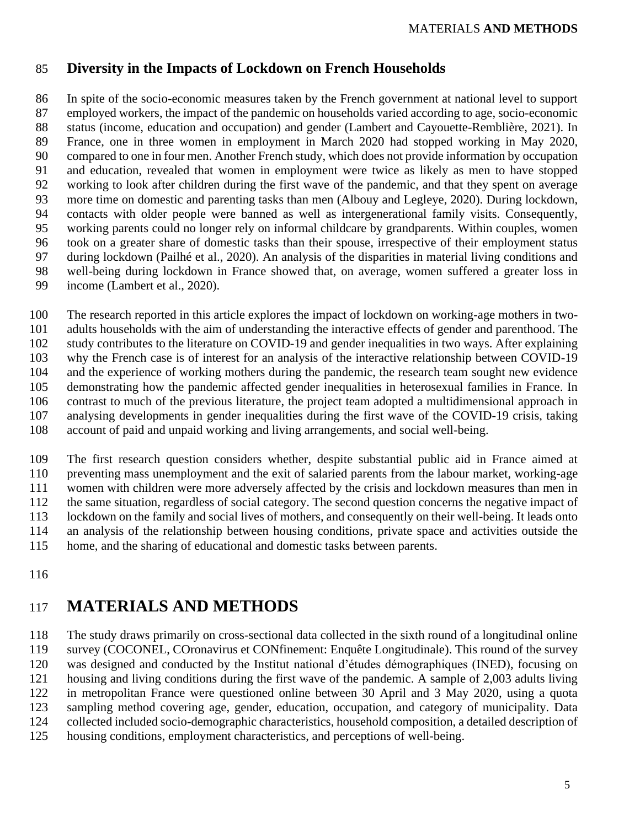### **Diversity in the Impacts of Lockdown on French Households**

 In spite of the socio-economic measures taken by the French government at national level to support employed workers, the impact of the pandemic on households varied according to age, socio-economic status (income, education and occupation) and gender (Lambert and Cayouette-Remblière, 2021). In France, one in three women in employment in March 2020 had stopped working in May 2020, compared to one in four men. Another French study, which does not provide information by occupation and education, revealed that women in employment were twice as likely as men to have stopped working to look after children during the first wave of the pandemic, and that they spent on average more time on domestic and parenting tasks than men (Albouy and Legleye, 2020). During lockdown, contacts with older people were banned as well as intergenerational family visits. Consequently, working parents could no longer rely on informal childcare by grandparents. Within couples, women took on a greater share of domestic tasks than their spouse, irrespective of their employment status during lockdown (Pailhé et al., 2020). An analysis of the disparities in material living conditions and well-being during lockdown in France showed that, on average, women suffered a greater loss in income (Lambert et al., 2020).

 The research reported in this article explores the impact of lockdown on working-age mothers in two- adults households with the aim of understanding the interactive effects of gender and parenthood. The study contributes to the literature on COVID-19 and gender inequalities in two ways. After explaining why the French case is of interest for an analysis of the interactive relationship between COVID-19 and the experience of working mothers during the pandemic, the research team sought new evidence demonstrating how the pandemic affected gender inequalities in heterosexual families in France. In contrast to much of the previous literature, the project team adopted a multidimensional approach in analysing developments in gender inequalities during the first wave of the COVID-19 crisis, taking account of paid and unpaid working and living arrangements, and social well-being.

 The first research question considers whether, despite substantial public aid in France aimed at preventing mass unemployment and the exit of salaried parents from the labour market, working-age women with children were more adversely affected by the crisis and lockdown measures than men in the same situation, regardless of social category. The second question concerns the negative impact of lockdown on the family and social lives of mothers, and consequently on their well-being. It leads onto an analysis of the relationship between housing conditions, private space and activities outside the home, and the sharing of educational and domestic tasks between parents.

# **MATERIALS AND METHODS**

 The study draws primarily on cross-sectional data collected in the sixth round of a longitudinal online survey (COCONEL, COronavirus et CONfinement: Enquête Longitudinale). This round of the survey was designed and conducted by the Institut national d'études démographiques (INED), focusing on housing and living conditions during the first wave of the pandemic. A sample of 2,003 adults living in metropolitan France were questioned online between 30 April and 3 May 2020, using a quota sampling method covering age, gender, education, occupation, and category of municipality. Data collected included socio-demographic characteristics, household composition, a detailed description of housing conditions, employment characteristics, and perceptions of well-being.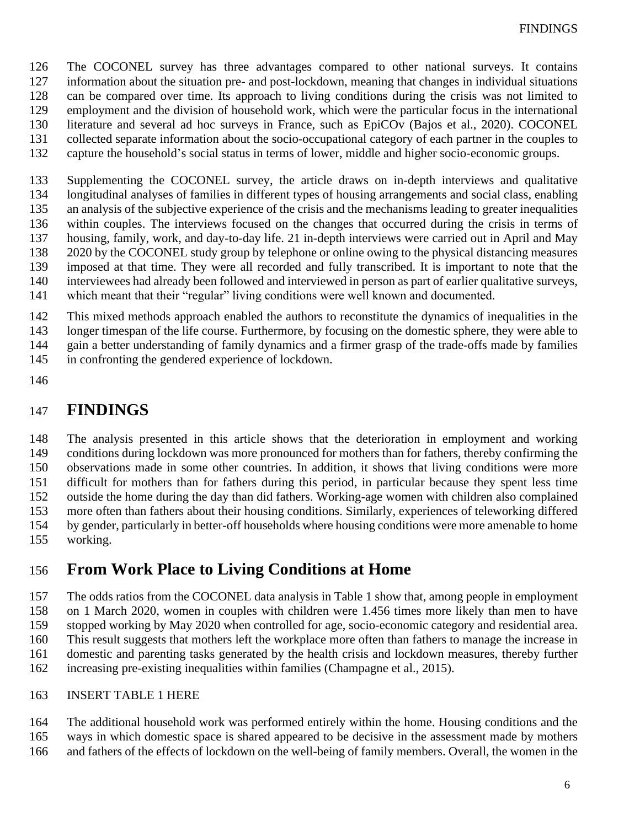The COCONEL survey has three advantages compared to other national surveys. It contains information about the situation pre- and post-lockdown, meaning that changes in individual situations can be compared over time. Its approach to living conditions during the crisis was not limited to employment and the division of household work, which were the particular focus in the international literature and several ad hoc surveys in France, such as EpiCOv (Bajos et al., 2020). COCONEL collected separate information about the socio-occupational category of each partner in the couples to capture the household's social status in terms of lower, middle and higher socio-economic groups.

 Supplementing the COCONEL survey, the article draws on in-depth interviews and qualitative longitudinal analyses of families in different types of housing arrangements and social class, enabling an analysis of the subjective experience of the crisis and the mechanisms leading to greater inequalities within couples. The interviews focused on the changes that occurred during the crisis in terms of housing, family, work, and day-to-day life. 21 in-depth interviews were carried out in April and May 2020 by the COCONEL study group by telephone or online owing to the physical distancing measures imposed at that time. They were all recorded and fully transcribed. It is important to note that the interviewees had already been followed and interviewed in person as part of earlier qualitative surveys, which meant that their "regular" living conditions were well known and documented.

This mixed methods approach enabled the authors to reconstitute the dynamics of inequalities in the

longer timespan of the life course. Furthermore, by focusing on the domestic sphere, they were able to

gain a better understanding of family dynamics and a firmer grasp of the trade-offs made by families

- in confronting the gendered experience of lockdown.
- 

### **FINDINGS**

 The analysis presented in this article shows that the deterioration in employment and working conditions during lockdown was more pronounced for mothers than for fathers, thereby confirming the observations made in some other countries. In addition, it shows that living conditions were more 151 difficult for mothers than for fathers during this period, in particular because they spent less time<br>152 outside the home during the day than did fathers. Working-age women with children also complained outside the home during the day than did fathers. Working-age women with children also complained more often than fathers about their housing conditions. Similarly, experiences of teleworking differed by gender, particularly in better-off households where housing conditions were more amenable to home working.

### **From Work Place to Living Conditions at Home**

The odds ratios from the COCONEL data analysis in Table 1 show that, among people in employment

 on 1 March 2020, women in couples with children were 1.456 times more likely than men to have stopped working by May 2020 when controlled for age, socio-economic category and residential area.

This result suggests that mothers left the workplace more often than fathers to manage the increase in

domestic and parenting tasks generated by the health crisis and lockdown measures, thereby further

increasing pre-existing inequalities within families (Champagne et al., 2015).

### INSERT TABLE 1 HERE

The additional household work was performed entirely within the home. Housing conditions and the

ways in which domestic space is shared appeared to be decisive in the assessment made by mothers

and fathers of the effects of lockdown on the well-being of family members. Overall, the women in the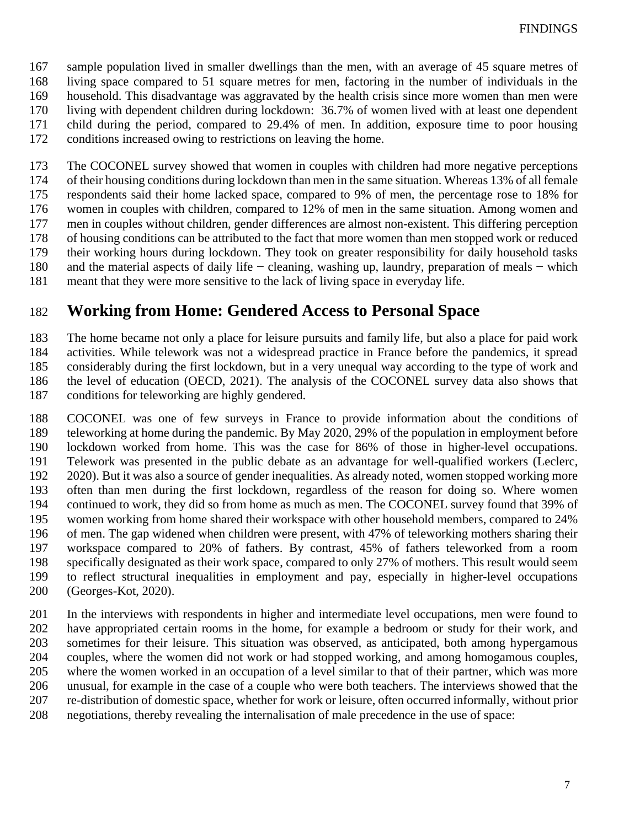sample population lived in smaller dwellings than the men, with an average of 45 square metres of living space compared to 51 square metres for men, factoring in the number of individuals in the household. This disadvantage was aggravated by the health crisis since more women than men were living with dependent children during lockdown: 36.7% of women lived with at least one dependent child during the period, compared to 29.4% of men. In addition, exposure time to poor housing conditions increased owing to restrictions on leaving the home.

 The COCONEL survey showed that women in couples with children had more negative perceptions of their housing conditions during lockdown than men in the same situation. Whereas 13% of all female respondents said their home lacked space, compared to 9% of men, the percentage rose to 18% for women in couples with children, compared to 12% of men in the same situation. Among women and men in couples without children, gender differences are almost non-existent. This differing perception of housing conditions can be attributed to the fact that more women than men stopped work or reduced their working hours during lockdown. They took on greater responsibility for daily household tasks and the material aspects of daily life − cleaning, washing up, laundry, preparation of meals − which meant that they were more sensitive to the lack of living space in everyday life.

### **Working from Home: Gendered Access to Personal Space**

 The home became not only a place for leisure pursuits and family life, but also a place for paid work activities. While telework was not a widespread practice in France before the pandemics, it spread considerably during the first lockdown, but in a very unequal way according to the type of work and the level of education (OECD, 2021). The analysis of the COCONEL survey data also shows that conditions for teleworking are highly gendered.

 COCONEL was one of few surveys in France to provide information about the conditions of teleworking at home during the pandemic. By May 2020, 29% of the population in employment before lockdown worked from home. This was the case for 86% of those in higher-level occupations. Telework was presented in the public debate as an advantage for well-qualified workers (Leclerc, 192 2020). But it was also a source of gender inequalities. As already noted, women stopped working more<br>193 often than men during the first lockdown, regardless of the reason for doing so. Where women often than men during the first lockdown, regardless of the reason for doing so. Where women continued to work, they did so from home as much as men. The COCONEL survey found that 39% of women working from home shared their workspace with other household members, compared to 24% of men. The gap widened when children were present, with 47% of teleworking mothers sharing their workspace compared to 20% of fathers. By contrast, 45% of fathers teleworked from a room specifically designated as their work space, compared to only 27% of mothers. This result would seem to reflect structural inequalities in employment and pay, especially in higher-level occupations (Georges-Kot, 2020).

 In the interviews with respondents in higher and intermediate level occupations, men were found to have appropriated certain rooms in the home, for example a bedroom or study for their work, and sometimes for their leisure. This situation was observed, as anticipated, both among hypergamous couples, where the women did not work or had stopped working, and among homogamous couples, where the women worked in an occupation of a level similar to that of their partner, which was more unusual, for example in the case of a couple who were both teachers. The interviews showed that the re-distribution of domestic space, whether for work or leisure, often occurred informally, without prior negotiations, thereby revealing the internalisation of male precedence in the use of space: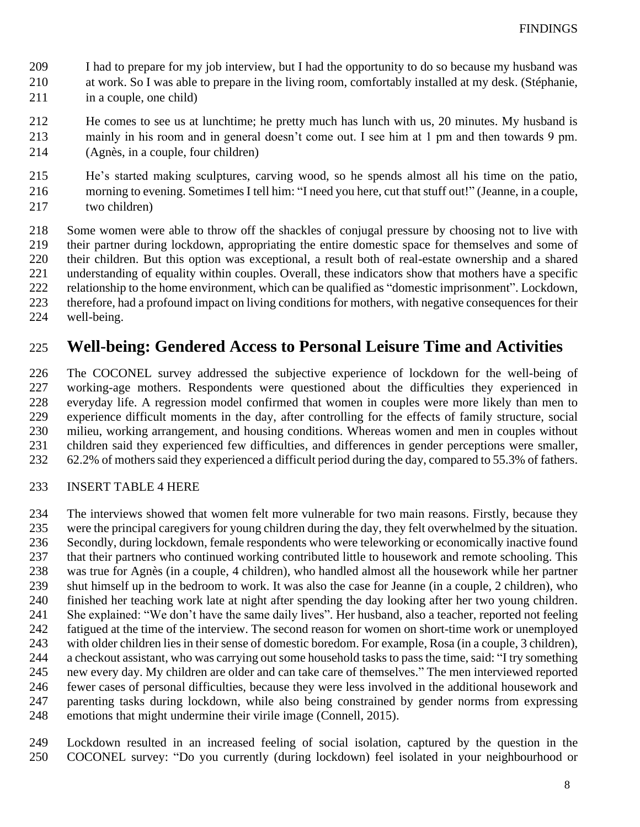- I had to prepare for my job interview, but I had the opportunity to do so because my husband was
- at work. So I was able to prepare in the living room, comfortably installed at my desk. (Stéphanie,
- 211 in a couple, one child)
- He comes to see us at lunchtime; he pretty much has lunch with us, 20 minutes. My husband is
- mainly in his room and in general doesn't come out. I see him at 1 pm and then towards 9 pm. (Agnès, in a couple, four children)
- He's started making sculptures, carving wood, so he spends almost all his time on the patio, morning to evening. Sometimes I tell him: "I need you here, cut that stuff out!" (Jeanne, in a couple, two children)
- Some women were able to throw off the shackles of conjugal pressure by choosing not to live with their partner during lockdown, appropriating the entire domestic space for themselves and some of their children. But this option was exceptional, a result both of real-estate ownership and a shared understanding of equality within couples. Overall, these indicators show that mothers have a specific relationship to the home environment, which can be qualified as "domestic imprisonment". Lockdown, therefore, had a profound impact on living conditions for mothers, with negative consequences for their
- well-being.

### **Well-being: Gendered Access to Personal Leisure Time and Activities**

 The COCONEL survey addressed the subjective experience of lockdown for the well-being of working-age mothers. Respondents were questioned about the difficulties they experienced in everyday life. A regression model confirmed that women in couples were more likely than men to experience difficult moments in the day, after controlling for the effects of family structure, social milieu, working arrangement, and housing conditions. Whereas women and men in couples without children said they experienced few difficulties, and differences in gender perceptions were smaller, 62.2% of mothers said they experienced a difficult period during the day, compared to 55.3% of fathers.

### INSERT TABLE 4 HERE

 The interviews showed that women felt more vulnerable for two main reasons. Firstly, because they were the principal caregivers for young children during the day, they felt overwhelmed by the situation. Secondly, during lockdown, female respondents who were teleworking or economically inactive found that their partners who continued working contributed little to housework and remote schooling. This was true for Agnès (in a couple, 4 children), who handled almost all the housework while her partner shut himself up in the bedroom to work. It was also the case for Jeanne (in a couple, 2 children), who finished her teaching work late at night after spending the day looking after her two young children. She explained: "We don't have the same daily lives". Her husband, also a teacher, reported not feeling fatigued at the time of the interview. The second reason for women on short-time work or unemployed with older children lies in their sense of domestic boredom. For example, Rosa (in a couple, 3 children), a checkout assistant, who was carrying outsome household tasks to pass the time, said: "I try something new every day. My children are older and can take care of themselves." The men interviewed reported fewer cases of personal difficulties, because they were less involved in the additional housework and parenting tasks during lockdown, while also being constrained by gender norms from expressing emotions that might undermine their virile image (Connell, 2015).

 Lockdown resulted in an increased feeling of social isolation, captured by the question in the COCONEL survey: "Do you currently (during lockdown) feel isolated in your neighbourhood or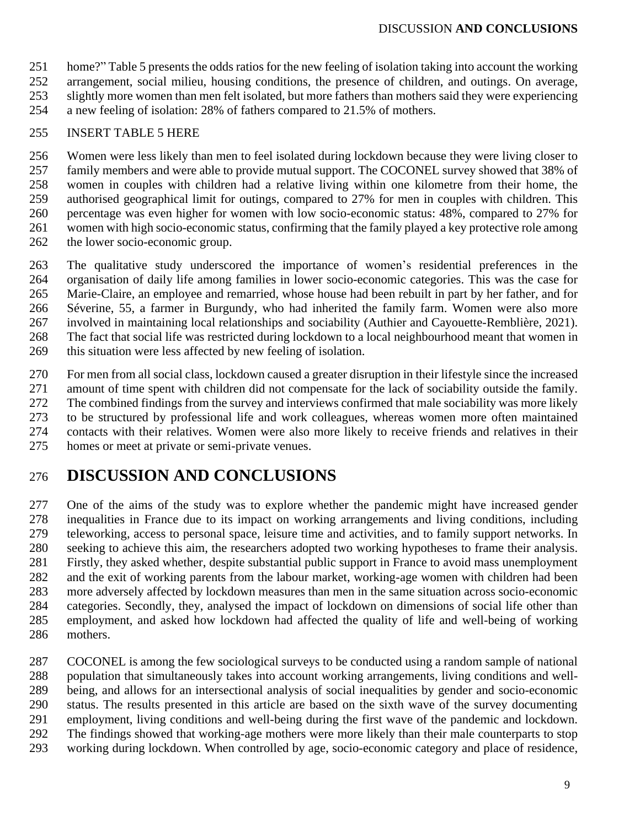home?" Table 5 presents the odds ratios for the new feeling of isolation taking into account the working

 arrangement, social milieu, housing conditions, the presence of children, and outings. On average, slightly more women than men felt isolated, but more fathers than mothers said they were experiencing

a new feeling of isolation: 28% of fathers compared to 21.5% of mothers.

#### INSERT TABLE 5 HERE

 Women were less likely than men to feel isolated during lockdown because they were living closer to family members and were able to provide mutual support. The COCONEL survey showed that 38% of 258 women in couples with children had a relative living within one kilometre from their home, the authorised geographical limit for outings, compared to 27% for men in couples with children. This authorised geographical limit for outings, compared to 27% for men in couples with children. This percentage was even higher for women with low socio-economic status: 48%, compared to 27% for women with high socio-economic status, confirming that the family played a key protective role among the lower socio-economic group.

 The qualitative study underscored the importance of women's residential preferences in the organisation of daily life among families in lower socio-economic categories. This was the case for Marie-Claire, an employee and remarried, whose house had been rebuilt in part by her father, and for Séverine, 55, a farmer in Burgundy, who had inherited the family farm. Women were also more involved in maintaining local relationships and sociability (Authier and Cayouette-Remblière, 2021). The fact that social life was restricted during lockdown to a local neighbourhood meant that women in

this situation were less affected by new feeling of isolation.

For men from all social class, lockdown caused a greater disruption in their lifestyle since the increased

amount of time spent with children did not compensate for the lack of sociability outside the family.

The combined findings from the survey and interviews confirmed that male sociability was more likely

 to be structured by professional life and work colleagues, whereas women more often maintained contacts with their relatives. Women were also more likely to receive friends and relatives in their

homes or meet at private or semi-private venues.

### **DISCUSSION AND CONCLUSIONS**

 One of the aims of the study was to explore whether the pandemic might have increased gender inequalities in France due to its impact on working arrangements and living conditions, including teleworking, access to personal space, leisure time and activities, and to family support networks. In seeking to achieve this aim, the researchers adopted two working hypotheses to frame their analysis. Firstly, they asked whether, despite substantial public support in France to avoid mass unemployment and the exit of working parents from the labour market, working-age women with children had been more adversely affected by lockdown measures than men in the same situation across socio-economic categories. Secondly, they, analysed the impact of lockdown on dimensions of social life other than employment, and asked how lockdown had affected the quality of life and well-being of working mothers.

 COCONEL is among the few sociological surveys to be conducted using a random sample of national population that simultaneously takes into account working arrangements, living conditions and well- being, and allows for an intersectional analysis of social inequalities by gender and socio-economic status. The results presented in this article are based on the sixth wave of the survey documenting employment, living conditions and well-being during the first wave of the pandemic and lockdown. The findings showed that working-age mothers were more likely than their male counterparts to stop working during lockdown. When controlled by age, socio-economic category and place of residence,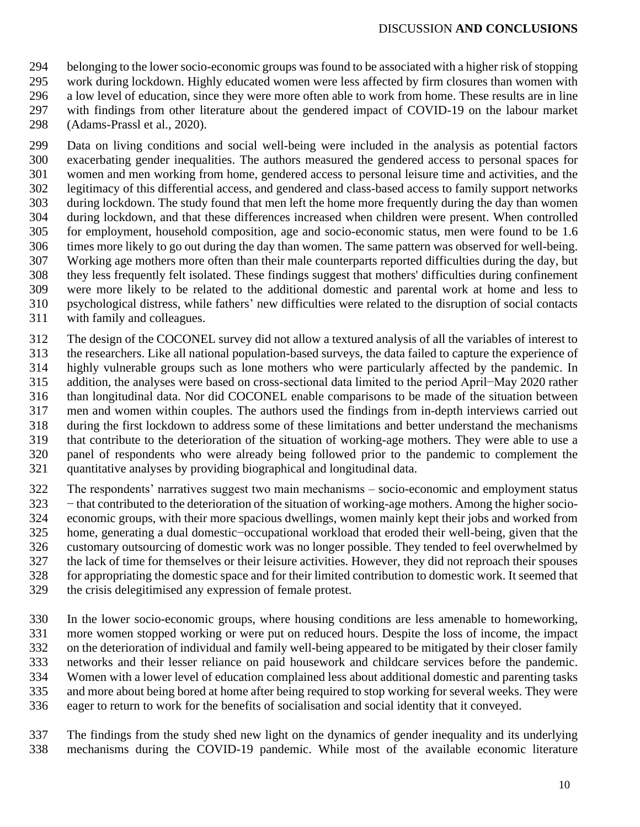#### DISCUSSION **AND CONCLUSIONS**

belonging to the lower socio-economic groups was found to be associated with a higher risk of stopping

- work during lockdown. Highly educated women were less affected by firm closures than women with
- a low level of education, since they were more often able to work from home. These results are in line
- with findings from other literature about the gendered impact of COVID-19 on the labour market (Adams-Prassl et al., 2020).

 Data on living conditions and social well-being were included in the analysis as potential factors exacerbating gender inequalities. The authors measured the gendered access to personal spaces for women and men working from home, gendered access to personal leisure time and activities, and the legitimacy of this differential access, and gendered and class-based access to family support networks during lockdown. The study found that men left the home more frequently during the day than women during lockdown, and that these differences increased when children were present. When controlled for employment, household composition, age and socio-economic status, men were found to be 1.6 times more likely to go out during the day than women. The same pattern was observed for well-being. Working age mothers more often than their male counterparts reported difficulties during the day, but they less frequently felt isolated. These findings suggest that mothers' difficulties during confinement were more likely to be related to the additional domestic and parental work at home and less to psychological distress, while fathers' new difficulties were related to the disruption of social contacts with family and colleagues.

- 312 The design of the COCONEL survey did not allow a textured analysis of all the variables of interest to<br>313 the researchers. Like all national population-based surveys, the data failed to capture the experience of the researchers. Like all national population-based surveys, the data failed to capture the experience of highly vulnerable groups such as lone mothers who were particularly affected by the pandemic. In addition, the analyses were based on cross-sectional data limited to the period April−May 2020 rather than longitudinal data. Nor did COCONEL enable comparisons to be made of the situation between men and women within couples. The authors used the findings from in-depth interviews carried out during the first lockdown to address some of these limitations and better understand the mechanisms that contribute to the deterioration of the situation of working-age mothers. They were able to use a panel of respondents who were already being followed prior to the pandemic to complement the quantitative analyses by providing biographical and longitudinal data.
- The respondents' narratives suggest two main mechanisms socio-economic and employment status 323 – that contributed to the deterioration of the situation of working-age mothers. Among the higher socio- economic groups, with their more spacious dwellings, women mainly kept their jobs and worked from home, generating a dual domestic−occupational workload that eroded their well-being, given that the customary outsourcing of domestic work was no longer possible. They tended to feel overwhelmed by the lack of time for themselves or their leisure activities. However, they did not reproach their spouses for appropriating the domestic space and for their limited contribution to domestic work. It seemed that the crisis delegitimised any expression of female protest.
- In the lower socio-economic groups, where housing conditions are less amenable to homeworking, more women stopped working or were put on reduced hours. Despite the loss of income, the impact on the deterioration of individual and family well-being appeared to be mitigated by their closer family networks and their lesser reliance on paid housework and childcare services before the pandemic. Women with a lower level of education complained less about additional domestic and parenting tasks and more about being bored at home after being required to stop working for several weeks. They were eager to return to work for the benefits of socialisation and social identity that it conveyed.
- The findings from the study shed new light on the dynamics of gender inequality and its underlying mechanisms during the COVID-19 pandemic. While most of the available economic literature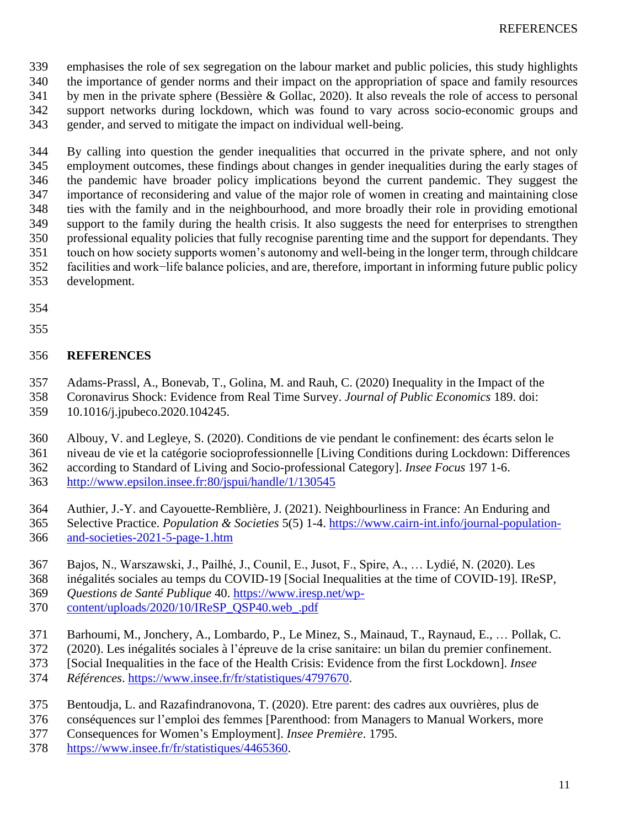- emphasises the role of sex segregation on the labour market and public policies, this study highlights
- the importance of gender norms and their impact on the appropriation of space and family resources
- by men in the private sphere (Bessière & Gollac, 2020). It also reveals the role of access to personal
- 342 support networks during lockdown, which was found to vary across socio-economic groups and gender, and served to mitigate the impact on individual well-being.
- gender, and served to mitigate the impact on individual well-being.

 By calling into question the gender inequalities that occurred in the private sphere, and not only employment outcomes, these findings about changes in gender inequalities during the early stages of the pandemic have broader policy implications beyond the current pandemic. They suggest the importance of reconsidering and value of the major role of women in creating and maintaining close ties with the family and in the neighbourhood, and more broadly their role in providing emotional support to the family during the health crisis. It also suggests the need for enterprises to strengthen professional equality policies that fully recognise parenting time and the support for dependants. They touch on how society supports women's autonomy and well-being in the longer term, through childcare facilities and work−life balance policies, and are, therefore, important in informing future public policy development.

- 
- 

### **REFERENCES**

- 357 Adams-Prassl, A., Bonevab, T., Golina, M. and Rauh, C. (2020) Inequality in the Impact of the<br>358 Coronavirus Shock: Evidence from Real Time Survey. Journal of Public Economics 189. doi:
- Coronavirus Shock: Evidence from Real Time Survey. *Journal of Public Economics* 189. doi:
- 10.1016/j.jpubeco.2020.104245.
- Albouy, V. and Legleye, S. (2020). Conditions de vie pendant le confinement: des écarts selon le

niveau de vie et la catégorie socioprofessionnelle [Living Conditions during Lockdown: Differences

according to Standard of Living and Socio-professional Category]. *Insee Focus* 197 1-6.

- [http://www.epsilon.insee.fr:80/jspui/handle/1/130545](http://www.epsilon.insee.fr/jspui/handle/1/130545)
- Authier, J.-Y. and Cayouette-Remblière, J. (2021). Neighbourliness in France: An Enduring and
- Selective Practice. *Population & Societies* 5(5) 1-4. [https://www.cairn-int.info/journal-population-](https://www.cairn-int.info/journal-population-and-societies-2021-5-page-1.htm)
- [and-societies-2021-5-page-1.htm](https://www.cairn-int.info/journal-population-and-societies-2021-5-page-1.htm)
- Bajos, N., Warszawski, J., Pailhé, J., Counil, E., Jusot, F., Spire, A., … Lydié, N. (2020). Les
- inégalités sociales au temps du COVID-19 [Social Inequalities at the time of COVID-19]. IReSP,
- *Questions de Santé Publique* 40. [https://www.iresp.net/wp-](https://www.iresp.net/wp-content/uploads/2020/10/IReSP_QSP40.web_.pdf)
- [content/uploads/2020/10/IReSP\\_QSP40.web\\_.pdf](https://www.iresp.net/wp-content/uploads/2020/10/IReSP_QSP40.web_.pdf)
- Barhoumi, M., Jonchery, A., Lombardo, P., Le Minez, S., Mainaud, T., Raynaud, E., … Pollak, C.
- (2020). Les inégalités sociales à l'épreuve de la crise sanitaire: un bilan du premier confinement.
- [Social Inequalities in the face of the Health Crisis: Evidence from the first Lockdown]. *Insee*
- *Références*. [https://www.insee.fr/fr/statistiques/4797670.](https://www.insee.fr/fr/statistiques/4797670)
- Bentoudja, L. and Razafindranovona, T. (2020). Etre parent: des cadres aux ouvrières, plus de
- conséquences sur l'emploi des femmes [Parenthood: from Managers to Manual Workers, more
- Consequences for Women's Employment]. *Insee Première*. 1795.
- [https://www.insee.fr/fr/statistiques/4465360.](https://www.insee.fr/fr/statistiques/4465360)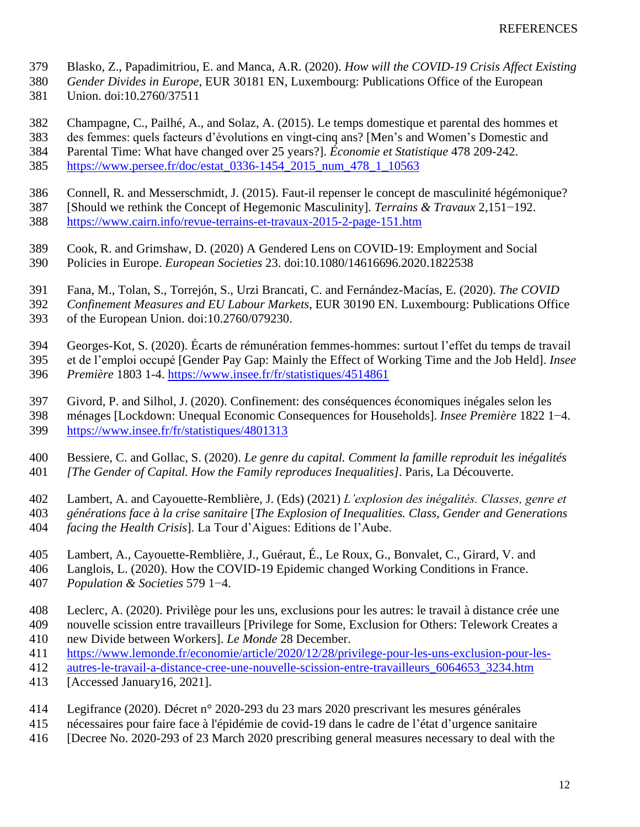- Blasko, Z., Papadimitriou, E. and Manca, A.R. (2020). *How will the COVID-19 Crisis Affect Existing*
- *Gender Divides in Europe*, EUR 30181 EN, Luxembourg: Publications Office of the European
- Union. doi:10.2760/37511
- Champagne, C., Pailhé, A., and Solaz, A. (2015). Le temps domestique et parental des hommes et
- des femmes: quels facteurs d'évolutions en vingt-cinq ans? [Men's and Women's Domestic and
- Parental Time: What have changed over 25 years?]. *Économie et Statistique* 478 209-242. [https://www.persee.fr/doc/estat\\_0336-1454\\_2015\\_num\\_478\\_1\\_10563](https://www.persee.fr/doc/estat_0336-1454_2015_num_478_1_10563)
- 
- Connell, R. and Messerschmidt, J. (2015). Faut-il repenser le concept de masculinité hégémonique? [Should we rethink the Concept of Hegemonic Masculinity]. *Terrains & Travaux* 2,151−192.
- <https://www.cairn.info/revue-terrains-et-travaux-2015-2-page-151.htm>
- Cook, R. and Grimshaw, D. (2020) A Gendered Lens on COVID-19: Employment and Social Policies in Europe. *European Societies* 23. doi:10.1080/14616696.2020.1822538
- Fana, M., Tolan, S., Torrejón, S., Urzi Brancati, C. and Fernández-Macías, E. (2020). *The COVID*
- *Confinement Measures and EU Labour Markets*, EUR 30190 EN. Luxembourg: Publications Office of the European Union. doi:10.2760/079230.
- Georges-Kot, S. (2020). Écarts de rémunération femmes-hommes: surtout l'effet du temps de travail
- et de l'emploi occupé [Gender Pay Gap: Mainly the Effect of Working Time and the Job Held]. *Insee*
- *Première* 1803 1-4. <https://www.insee.fr/fr/statistiques/4514861>
- Givord, P. and Silhol, J. (2020). Confinement: des conséquences économiques inégales selon les
- ménages [Lockdown: Unequal Economic Consequences for Households]. *Insee Première* 1822 1−4. <https://www.insee.fr/fr/statistiques/4801313>
- Bessiere, C. and Gollac, S. (2020). *Le genre du capital. Comment la famille reproduit les inégalités [The Gender of Capital. How the Family reproduces Inequalities]*. Paris, La Découverte.
- Lambert, A. and Cayouette-Remblière, J. (Eds) (2021) *L'explosion des inégalités. Classes, genre et*
- *générations face à la crise sanitaire* [*The Explosion of Inequalities. Class, Gender and Generations*
- *facing the Health Crisis*]. La Tour d'Aigues: Editions de l'Aube.
- Lambert, A., Cayouette-Remblière, J., Guéraut, É., Le Roux, G., Bonvalet, C., Girard, V. and
- Langlois, L. (2020). How the COVID-19 Epidemic changed Working Conditions in France. *Population & Societies* 579 1−4.
- Leclerc, A. (2020). Privilège pour les uns, exclusions pour les autres: le travail à distance crée une nouvelle scission entre travailleurs [Privilege for Some, Exclusion for Others: Telework Creates a
- new Divide between Workers]. *Le Monde* 28 December.
- [https://www.lemonde.fr/economie/article/2020/12/28/privilege-pour-les-uns-exclusion-pour-les-](https://www.lemonde.fr/economie/article/2020/12/28/privilege-pour-les-uns-exclusion-pour-les-autres-le-travail-a-distance-cree-une-nouvelle-scission-entre-travailleurs_6064653_3234.htm)
- [autres-le-travail-a-distance-cree-une-nouvelle-scission-entre-travailleurs\\_6064653\\_3234.htm](https://www.lemonde.fr/economie/article/2020/12/28/privilege-pour-les-uns-exclusion-pour-les-autres-le-travail-a-distance-cree-une-nouvelle-scission-entre-travailleurs_6064653_3234.htm)
- [Accessed January16, 2021].
- Legifrance (2020). Décret n° 2020-293 du 23 mars 2020 prescrivant les mesures générales
- nécessaires pour faire face à l'épidémie de covid-19 dans le cadre de l'état d'urgence sanitaire
- [Decree No. 2020-293 of 23 March 2020 prescribing general measures necessary to deal with the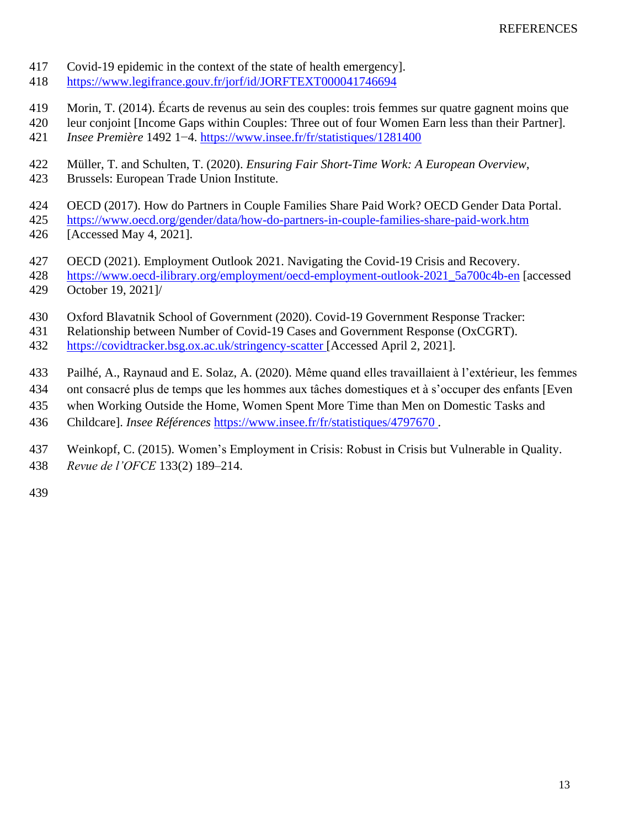- Covid-19 epidemic in the context of the state of health emergency].
- <https://www.legifrance.gouv.fr/jorf/id/JORFTEXT000041746694>
- Morin, T. (2014). Écarts de revenus au sein des couples: trois femmes sur quatre gagnent moins que
- leur conjoint [Income Gaps within Couples: Three out of four Women Earn less than their Partner]. *Insee Première* 1492 1−4. <https://www.insee.fr/fr/statistiques/1281400>
- Müller, T. and Schulten, T. (2020). *Ensuring Fair Short-Time Work: A European Overview*,
- Brussels: European Trade Union Institute.
- OECD (2017). How do Partners in Couple Families Share Paid Work? OECD Gender Data Portal.
- <https://www.oecd.org/gender/data/how-do-partners-in-couple-families-share-paid-work.htm>
- [Accessed May 4, 2021].
- OECD (2021). Employment Outlook 2021. Navigating the Covid-19 Crisis and Recovery.
- [https://www.oecd-ilibrary.org/employment/oecd-employment-outlook-2021\\_5a700c4b-en](https://www.oecd-ilibrary.org/employment/oecd-employment-outlook-2021_5a700c4b-en) [accessed
- October 19, 2021]/
- Oxford Blavatnik School of Government (2020). Covid-19 Government Response Tracker:
- Relationship between Number of Covid-19 Cases and Government Response (OxCGRT).
- <https://covidtracker.bsg.ox.ac.uk/stringency-scatter> [Accessed April 2, 2021].
- Pailhé, A., Raynaud and E. Solaz, A. (2020). Même quand elles travaillaient à l'extérieur, les femmes
- ont consacré plus de temps que les hommes aux tâches domestiques et à s'occuper des enfants [Even
- when Working Outside the Home, Women Spent More Time than Men on Domestic Tasks and
- Childcare]. *Insee Références* <https://www.insee.fr/fr/statistiques/4797670> .
- Weinkopf, C. (2015). Women's Employment in Crisis: Robust in Crisis but Vulnerable in Quality.
- *Revue de l'OFCE* 133(2) 189–214.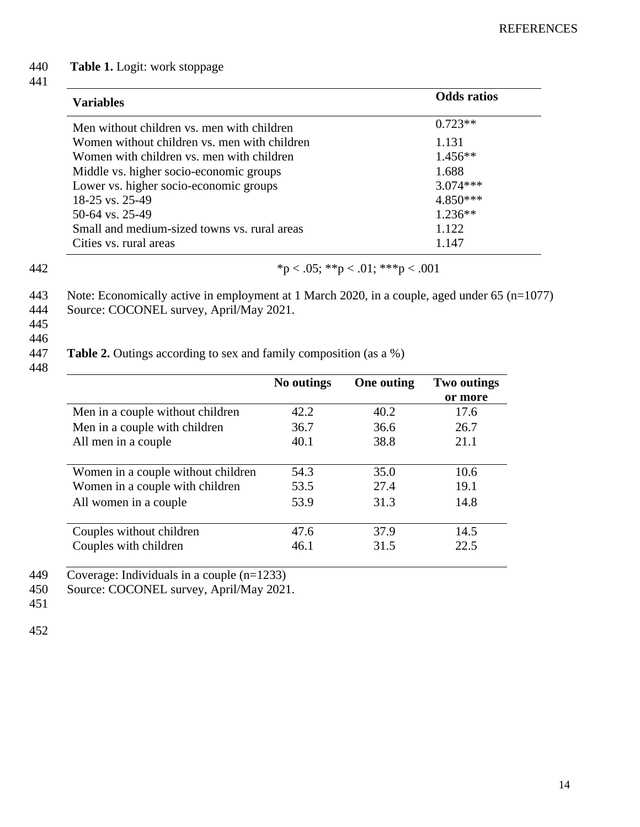### 440 **Table 1.** Logit: work stoppage

#### 441

| <b>Variables</b>                             | <b>Odds</b> ratios |
|----------------------------------------------|--------------------|
| Men without children vs. men with children   | $0.723**$          |
| Women without children vs. men with children | 1.131              |
| Women with children vs. men with children    | $1.456**$          |
| Middle vs. higher socio-economic groups      | 1.688              |
| Lower vs. higher socio-economic groups       | $3.074***$         |
| 18-25 vs. 25-49                              | $4.850***$         |
| 50-64 vs. 25-49                              | $1.236**$          |
| Small and medium-sized towns vs. rural areas | 1.122              |
| Cities vs. rural areas                       | 1.147              |

$$
442
$$

442  $p < .05; **p < .01; **p < .001$ 

443 Note: Economically active in employment at 1 March 2020, in a couple, aged under 65 (n=1077) 444 Source: COCONEL survey, April/May 2021.

445

# 446<br>447

### **Table 2.** Outings according to sex and family composition (as a %)

448

|                                    | No outings | <b>One outing</b> | <b>Two outings</b> |
|------------------------------------|------------|-------------------|--------------------|
|                                    |            |                   | or more            |
| Men in a couple without children   | 42.2       | 40.2              | 17.6               |
| Men in a couple with children      | 36.7       | 36.6              | 26.7               |
| All men in a couple                | 40.1       | 38.8              | 21.1               |
|                                    |            |                   |                    |
| Women in a couple without children | 54.3       | 35.0              | 10.6               |
| Women in a couple with children    | 53.5       | 27.4              | 19.1               |
| All women in a couple              | 53.9       | 31.3              | 14.8               |
|                                    |            |                   |                    |
| Couples without children           | 47.6       | 37.9              | 14.5               |
| Couples with children              | 46.1       | 31.5              | 22.5               |
|                                    |            |                   |                    |

449 Coverage: Individuals in a couple (n=1233)<br>450 Source: COCONEL survey, April/May 2021

Source: COCONEL survey, April/May 2021.

451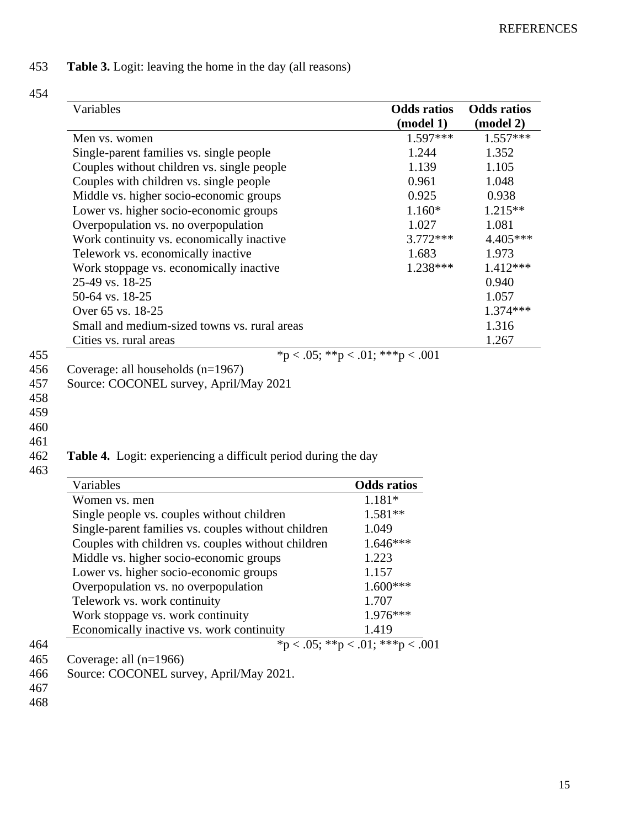### 453 **Table 3.** Logit: leaving the home in the day (all reasons)

#### 454

| Variables                                    | <b>Odds</b> ratios<br>(model 1) | <b>Odds</b> ratios<br>(model 2) |
|----------------------------------------------|---------------------------------|---------------------------------|
| Men vs. women                                | $1.597***$                      | $1.557***$                      |
| Single-parent families vs. single people     | 1.244                           | 1.352                           |
| Couples without children vs. single people   | 1.139                           | 1.105                           |
| Couples with children vs. single people      | 0.961                           | 1.048                           |
| Middle vs. higher socio-economic groups      | 0.925                           | 0.938                           |
| Lower vs. higher socio-economic groups       | $1.160*$                        | $1.215**$                       |
| Overpopulation vs. no overpopulation         | 1.027                           | 1.081                           |
| Work continuity vs. economically inactive    | $3.772***$                      | 4.405***                        |
| Telework vs. economically inactive           | 1.683                           | 1.973                           |
| Work stoppage vs. economically inactive      | $1.238***$                      | $1.412***$                      |
| 25-49 vs. 18-25                              |                                 | 0.940                           |
| 50-64 vs. 18-25                              |                                 | 1.057                           |
| Over 65 vs. 18-25                            |                                 | $1.374***$                      |
| Small and medium-sized towns vs. rural areas |                                 | 1.316                           |
| Cities vs. rural areas                       |                                 | 1.267                           |
| *p < .05; **p < .01; ***p < .001             |                                 |                                 |
| Coverage: all households $(n=1967)$          |                                 |                                 |
| Source: COCONEL survey, April/May 2021       |                                 |                                 |
|                                              |                                 |                                 |
|                                              |                                 |                                 |
|                                              |                                 |                                 |
|                                              |                                 |                                 |

461<br>462

456<br>457

458 459 460

Table 4. Logit: experiencing a difficult period during the day

463

| Variables                                           | <b>Odds</b> ratios               |
|-----------------------------------------------------|----------------------------------|
| Women vs. men                                       | $1.181*$                         |
| Single people vs. couples without children          | $1.581**$                        |
| Single-parent families vs. couples without children | 1.049                            |
| Couples with children vs. couples without children  | $1.646***$                       |
| Middle vs. higher socio-economic groups             | 1.223                            |
| Lower vs. higher socio-economic groups              | 1.157                            |
| Overpopulation vs. no overpopulation                | $1.600***$                       |
| Telework vs. work continuity                        | 1.707                            |
| Work stoppage vs. work continuity                   | $1.976***$                       |
| Economically inactive vs. work continuity           | 1.419                            |
|                                                     | *p < .05; **p < .01; ***p < .001 |
| Coverage: all $(n=1966)$                            |                                  |
| Source: COCONEL survey, April/May 2021.             |                                  |

ey, April/May